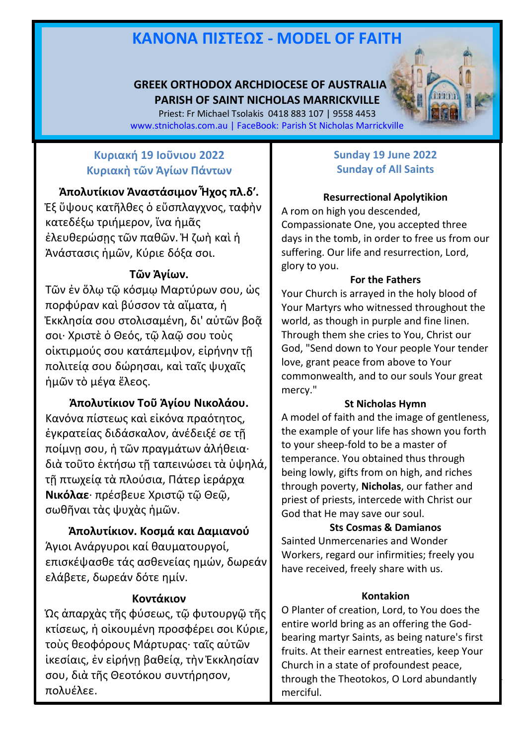# **ΚΑΝOΝΑ ΠIΣΤΕΩΣ - MODEL OF FAITH**

### **GREEK ORTHODOX ARCHDIOCESE OF AUSTRALIA PARISH OF SAINT NICHOLAS MARRICKVILLE**

Priest: Fr Michael Tsolakis 0418 883 107 | 9558 4453 [www.stnicholas.com.au](http://www.stnicholas.com.au/) | FaceBook: Parish St Nicholas Marrickville

# **Κυριακή 19 Ioῦνιου 2022 Κυριακὴ τῶν Ἁγίων Πάντων**

### **Ἀπολυτίκιον Ἀναστάσιμον Ἦχος πλ.δʹ.**

Ἐξ ὕψους κατῆλθες ὁ εὔσπλαγχνος, ταφὴν κατεδέξω τριήμερον, ἵνα ἡμᾶς ἐλευθερώσῃς τῶν παθῶν. Ἡ ζωὴ καὶ ἡ Ἀνάστασις ἡμῶν, Κύριε δόξα σοι.

### **Τῶν Ἁγίων.**

Τῶν ἐν ὅλῳ τῷ κόσμῳ Μαρτύρων σου, ὡς πορφύραν καὶ βύσσον τὰ αἵματα, ἡ Ἐκκλησία σου στολισαμένη, δι' αὐτῶν βοᾶ σοι· Χριστὲ ὁ Θεός, τῷ λαῷ σου τοὺς οἰκτιρμούς σου κατάπεμψον, εἰρήνην τῇ πολιτείᾳ σου δώρησαι, καὶ ταῖς ψυχαῖς ἡμῶν τὸ μέγα ἔλεος.

#### **Ἀπολυτίκιον Τοῦ Ἁγίου Νικολάου.**

Κανόνα πίστεως καὶ εἰκόνα πραότητος, ἐγκρατείας διδάσκαλον, ἀνέδειξέ σε τῇ ποίμνῃ σου, ἡ τῶν πραγμάτων ἀλήθεια· διὰ τοῦτο ἐκτήσω τῇ ταπεινώσει τὰ ὑψηλά, τῇ πτωχείᾳ τὰ πλούσια, Πάτερ ἱεράρχα **Νικόλαε**· πρέσβευε Χριστῷ τῷ Θεῷ, σωθῆναι τὰς ψυχὰς ἡμῶν.

#### **Ἀπολυτίκιον. Κοσμά και Δαμιανού**

Άγιοι Ανάργυροι καί θαυματουργοί, επισκέψασθε τάς ασθενείας ημών, δωρεάν ελάβετε, δωρεάν δότε ημίν.

#### **Κοντάκιον**

Ὡς ἀπαρχὰς τῆς φύσεως, τῷ φυτουργῷ τῆς κτίσεως, ἡ οἰκουμένη προσφέρει σοι Κύριε, τοὺς θεοφόρους Μάρτυρας· ταῖς αὐτῶν ἱκεσίαις, ἐν εἰρήνῃ βαθείᾳ, τὴν Ἐκκλησίαν σου, διὰ τῆς Θεοτόκου συντήρησον, πολυέλεε.

### **Sunday 19 June 2022 Sunday of All Saints**

### **Resurrectional Apolytikion**

A rom on high you descended, Compassionate One, you accepted three days in the tomb, in order to free us from our suffering. Our life and resurrection, Lord, glory to you.

#### **For the Fathers**

Your Church is arrayed in the holy blood of Your Martyrs who witnessed throughout the world, as though in purple and fine linen. Through them she cries to You, Christ our God, "Send down to Your people Your tender love, grant peace from above to Your commonwealth, and to our souls Your great mercy."

#### **St Nicholas Hymn**

A model of faith and the image of gentleness, the example of your life has shown you forth to your sheep-fold to be a master of temperance. You obtained thus through being lowly, gifts from on high, and riches through poverty, **Nicholas**, our father and priest of priests, intercede with Christ our God that He may save our soul.

#### **Sts Cosmas & Damianos**

Sainted Unmercenaries and Wonder Workers, regard our infirmities; freely you have received, freely share with us.

#### **Kontakion**

O Planter of creation, Lord, to You does the entire world bring as an offering the Godbearing martyr Saints, as being nature's first fruits. At their earnest entreaties, keep Your Church in a state of profoundest peace, through the Theotokos, O Lord abundantly merciful.

1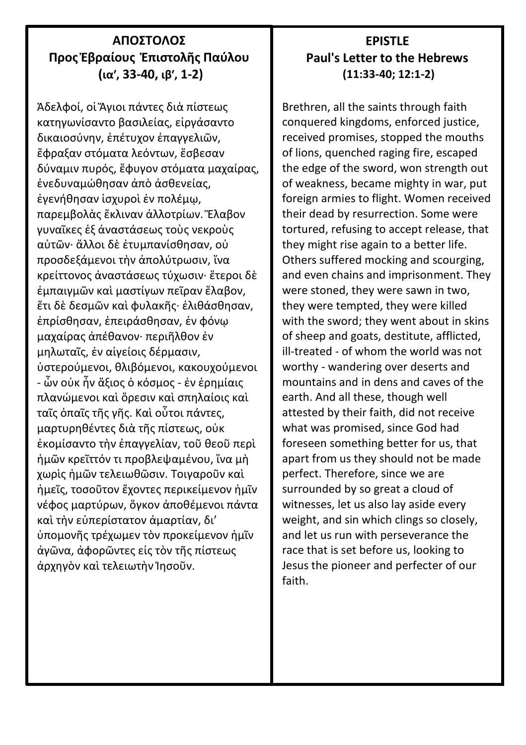# **ΑΠΟΣΤΟΛΟΣ Προς Ἐβραίους Ἐπιστολῆς Παύλου (ιαʹ, 33-40, ιβʹ, 1-2)**

Ἀδελφοί, οἱ Ἅγιοι πάντες διὰ πίστεως κατηγωνίσαντο βασιλείας, εἰργάσαντο δικαιοσύνην, ἐπέτυχον ἐπαγγελιῶν, ἔφραξαν στόματα λεόντων, ἔσβεσαν δύναμιν πυρός, ἔφυγον στόματα μαχαίρας, ἐνεδυναμώθησαν ἀπὸ ἀσθενείας, ἐγενήθησαν ἰσχυροὶ ἐν πολέμῳ, παρεμβολὰς ἔκλιναν ἀλλοτρίων. Ἔλαβον γυναῖκες ἐξ ἀναστάσεως τοὺς νεκροὺς αὐτῶν· ἄλλοι δὲ ἐτυμπανίσθησαν, οὐ προσδεξάμενοι τὴν ἀπολύτρωσιν, ἵνα κρείττονος ἀναστάσεως τύχωσιν· ἕτεροι δὲ ἐμπαιγμῶν καὶ μαστίγων πεῖραν ἔλαβον, ἔτι δὲ δεσμῶν καὶ φυλακῆς· ἐλιθάσθησαν, ἐπρίσθησαν, ἐπειράσθησαν, ἐν φόνῳ μαχαίρας ἀπέθανον· περιῆλθον ἐν μηλωταῖς, ἐν αἰγείοις δέρμασιν, ὑστερούμενοι, θλιβόμενοι, κακουχούμενοι - ὧν οὐκ ἦν ἄξιος ὁ κόσμος - ἐν ἐρημίαις πλανώμενοι καὶ ὄρεσιν καὶ σπηλαίοις καὶ ταῖς ὀπαῖς τῆς γῆς. Καὶ οὗτοι πάντες, μαρτυρηθέντες διὰ τῆς πίστεως, οὐκ ἐκομίσαντο τὴν ἐπαγγελίαν, τοῦ θεοῦ περὶ ἡμῶν κρεῖττόν τι προβλεψαμένου, ἵνα μὴ χωρὶς ἡμῶν τελειωθῶσιν. Τοιγαροῦν καὶ ἡμεῖς, τοσοῦτον ἔχοντες περικείμενον ἡμῖν νέφος μαρτύρων, ὄγκον ἀποθέμενοι πάντα καὶ τὴν εὐπερίστατον ἁμαρτίαν, δι' ὑπομονῆς τρέχωμεν τὸν προκείμενον ἡμῖν ἀγῶνα, ἀφορῶντες εἰς τὸν τῆς πίστεως ἀρχηγὸν καὶ τελειωτὴν Ἰησοῦν.

# **EPISTLE Paul's Letter to the Hebrews (11:33-40; 12:1-2)**

Brethren, all the saints through faith conquered kingdoms, enforced justice, received promises, stopped the mouths of lions, quenched raging fire, escaped the edge of the sword, won strength out of weakness, became mighty in war, put foreign armies to flight. Women received their dead by resurrection. Some were tortured, refusing to accept release, that they might rise again to a better life. Others suffered mocking and scourging, and even chains and imprisonment. They were stoned, they were sawn in two, they were tempted, they were killed with the sword; they went about in skins of sheep and goats, destitute, afflicted, ill-treated - of whom the world was not worthy - wandering over deserts and mountains and in dens and caves of the earth. And all these, though well attested by their faith, did not receive what was promised, since God had foreseen something better for us, that apart from us they should not be made perfect. Therefore, since we are surrounded by so great a cloud of witnesses, let us also lay aside every weight, and sin which clings so closely, and let us run with perseverance the race that is set before us, looking to Jesus the pioneer and perfecter of our faith.

2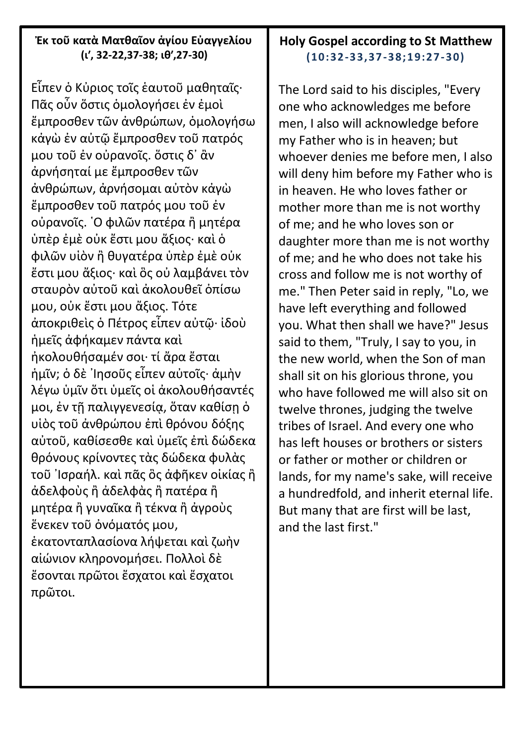# **Ἐκ τοῦ κατὰ Ματθαῖον ἁγίου Εὐαγγελίου (ιʹ, 32-22,37-38; ιθʹ,27-30)**

Εἶπεν ὁ Κὐριος τοῖς ἑαυτοῦ μαθηταῖς· Πᾶς οὖν ὅστις ὁμολογήσει ἐν ἐμοὶ ἔμπροσθεν τῶν ἀνθρώπων, ὁμολογήσω κἀγὼ ἐν αὐτῷ ἔμπροσθεν τοῦ πατρός μου τοῦ ἐν οὐρανοῖς. ὅστις δ᾿ ἂν ἀρνήσηταί με ἔμπροσθεν τῶν ἀνθρώπων, ἀρνήσομαι αὐτὸν κἀγὼ ἔμπροσθεν τοῦ πατρός μου τοῦ ἐν οὐρανοῖς. ῾Ο φιλῶν πατέρα ἢ μητέρα ὑπὲρ ἐμὲ οὐκ ἔστι μου ἄξιος· καὶ ὁ φιλῶν υἱὸν ἢ θυγατέρα ὑπὲρ ἐμὲ οὐκ ἔστι μου ἄξιος· καὶ ὃς οὐ λαμβάνει τὸν σταυρὸν αὐτοῦ καὶ ἀκολουθεῖ ὀπίσω μου, οὐκ ἔστι μου ἄξιος. Τότε ἀποκριθεὶς ὁ Πέτρος εἶπεν αὐτῷ· ἰδοὺ ἡμεῖς ἀφήκαμεν πάντα καὶ ἠκολουθήσαμέν σοι· τί ἄρα ἔσται ἡμῖν; ὁ δὲ ᾿Ιησοῦς εἶπεν αὐτοῖς· ἀμὴν λέγω ὑμῖν ὅτι ὑμεῖς οἱ ἀκολουθήσαντές μοι, ἐν τῇ παλιγγενεσίᾳ, ὅταν καθίσῃ ὁ υἱὸς τοῦ ἀνθρώπου ἐπὶ θρόνου δόξης αὐτοῦ, καθίσεσθε καὶ ὑμεῖς ἐπὶ δώδεκα θρόνους κρίνοντες τὰς δώδεκα φυλὰς τοῦ ᾿Ισραήλ. καὶ πᾶς ὃς ἀφῆκεν οἰκίας ἢ ἀδελφοὺς ἢ ἀδελφὰς ἢ πατέρα ἢ μητέρα ἢ γυναῖκα ἢ τέκνα ἢ ἀγροὺς ἕνεκεν τοῦ ὀνόματός μου, ἑκατονταπλασίονα λήψεται καὶ ζωὴν αἰώνιον κληρονομήσει. Πολλοὶ δὲ ἔσονται πρῶτοι ἔσχατοι καὶ ἔσχατοι πρῶτοι.

# **Holy Gospel according to St Matthew (10: 32-33,37-38;19:27-30)**

The Lord said to his disciples, "Every one who acknowledges me before men, I also will acknowledge before my Father who is in heaven; but whoever denies me before men, I also will deny him before my Father who is in heaven. He who loves father or mother more than me is not worthy of me; and he who loves son or daughter more than me is not worthy of me; and he who does not take his cross and follow me is not worthy of me." Then Peter said in reply, "Lo, we have left everything and followed you. What then shall we have?" Jesus said to them, "Truly, I say to you, in the new world, when the Son of man shall sit on his glorious throne, you who have followed me will also sit on twelve thrones, judging the twelve tribes of Israel. And every one who has left houses or brothers or sisters or father or mother or children or lands, for my name's sake, will receive a hundredfold, and inherit eternal life. But many that are first will be last, and the last first."

3